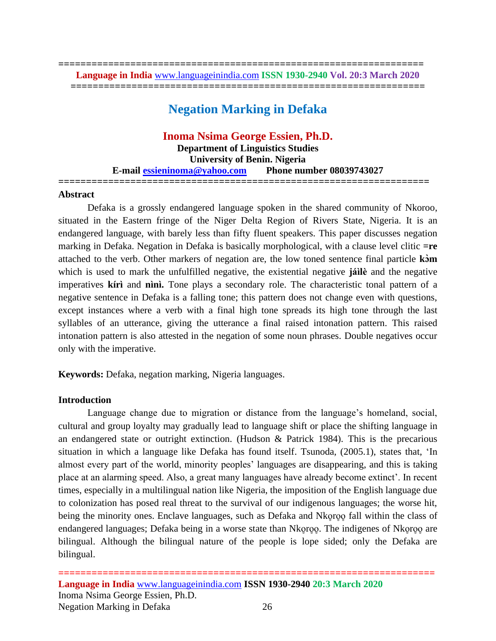**================================================================== Language in India** [www.languageinindia.com](http://www.languageinindia.com/) **ISSN 1930-2940 Vol. 20:3 March 2020 ================================================================**

# **Negation Marking in Defaka**

# **Inoma Nsima George Essien, Ph.D.**

**Department of Linguistics Studies University of Benin. Nigeria E-mail [essieninoma@yahoo.com](mailto:essieninoma@yahoo.com) Phone number 08039743027 ===================================================================**

#### **Abstract**

Defaka is a grossly endangered language spoken in the shared community of Nkoroo, situated in the Eastern fringe of the Niger Delta Region of Rivers State, Nigeria. It is an endangered language, with barely less than fifty fluent speakers. This paper discusses negation marking in Defaka. Negation in Defaka is basically morphological, with a clause level clitic **=re** attached to the verb. Other markers of negation are, the low toned sentence final particle **kɔ̀m**  which is used to mark the unfulfilled negative, the existential negative **jáìlè** and the negative imperatives **kírì** and **nìnì.** Tone plays a secondary role. The characteristic tonal pattern of a negative sentence in Defaka is a falling tone; this pattern does not change even with questions, except instances where a verb with a final high tone spreads its high tone through the last syllables of an utterance, giving the utterance a final raised intonation pattern. This raised intonation pattern is also attested in the negation of some noun phrases. Double negatives occur only with the imperative.

**Keywords:** Defaka, negation marking, Nigeria languages.

#### **Introduction**

Language change due to migration or distance from the language's homeland, social, cultural and group loyalty may gradually lead to language shift or place the shifting language in an endangered state or outright extinction. (Hudson & Patrick 1984). This is the precarious situation in which a language like Defaka has found itself. Tsunoda, (2005.1), states that, 'In almost every part of the world, minority peoples' languages are disappearing, and this is taking place at an alarming speed. Also, a great many languages have already become extinct'. In recent times, especially in a multilingual nation like Nigeria, the imposition of the English language due to colonization has posed real threat to the survival of our indigenous languages; the worse hit, being the minority ones. Enclave languages, such as Defaka and Nkoro is fall within the class of endangered languages; Defaka being in a worse state than Nkoroo in The indigenes of Nkoroo are bilingual. Although the bilingual nature of the people is lope sided; only the Defaka are bilingual.

**==================================================================== Language in India** [www.languageinindia.com](http://www.languageinindia.com/) **ISSN 1930-2940 20:3 March 2020** Inoma Nsima George Essien, Ph.D. Negation Marking in Defaka 26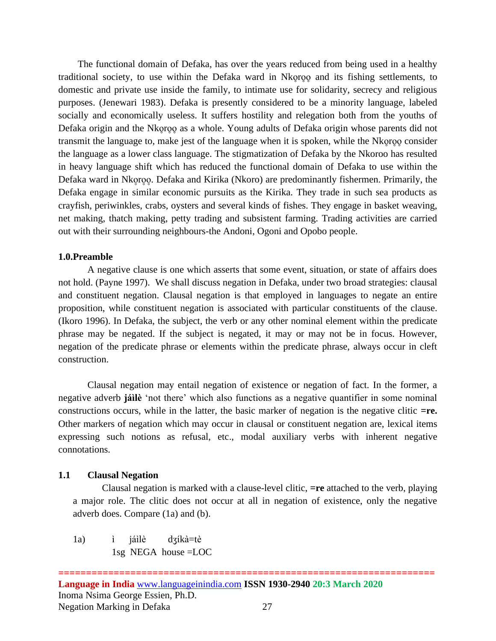The functional domain of Defaka, has over the years reduced from being used in a healthy traditional society, to use within the Defaka ward in Nkoroo and its fishing settlements, to domestic and private use inside the family, to intimate use for solidarity, secrecy and religious purposes. (Jenewari 1983). Defaka is presently considered to be a minority language, labeled socially and economically useless. It suffers hostility and relegation both from the youths of Defaka origin and the Nkoroo as a whole. Young adults of Defaka origin whose parents did not transmit the language to, make jest of the language when it is spoken, while the Nkoroo consider the language as a lower class language. The stigmatization of Defaka by the Nkoroo has resulted in heavy language shift which has reduced the functional domain of Defaka to use within the Defaka ward in Nkoroo. Defaka and Kirika (Nkoro) are predominantly fishermen. Primarily, the Defaka engage in similar economic pursuits as the Kirika. They trade in such sea products as crayfish, periwinkles, crabs, oysters and several kinds of fishes. They engage in basket weaving, net making, thatch making, petty trading and subsistent farming. Trading activities are carried out with their surrounding neighbours-the Andoni, Ogoni and Opobo people.

#### **1.0.Preamble**

A negative clause is one which asserts that some event, situation, or state of affairs does not hold. (Payne 1997). We shall discuss negation in Defaka, under two broad strategies: clausal and constituent negation. Clausal negation is that employed in languages to negate an entire proposition, while constituent negation is associated with particular constituents of the clause. (Ikoro 1996). In Defaka, the subject, the verb or any other nominal element within the predicate phrase may be negated. If the subject is negated, it may or may not be in focus. However, negation of the predicate phrase or elements within the predicate phrase, always occur in cleft construction.

Clausal negation may entail negation of existence or negation of fact. In the former, a negative adverb **jáìlè** 'not there' which also functions as a negative quantifier in some nominal constructions occurs, while in the latter, the basic marker of negation is the negative clitic **=re.** Other markers of negation which may occur in clausal or constituent negation are, lexical items expressing such notions as refusal, etc., modal auxiliary verbs with inherent negative connotations.

#### **1.1 Clausal Negation**

Clausal negation is marked with a clause-level clitic, **=re** attached to the verb, playing a major role. The clitic does not occur at all in negation of existence, only the negative adverb does. Compare (1a) and (b).

1a) ì jáìlè dʒíkà=tè 1sg NEGA house =LOC

**==================================================================== Language in India** [www.languageinindia.com](http://www.languageinindia.com/) **ISSN 1930-2940 20:3 March 2020** Inoma Nsima George Essien, Ph.D. Negation Marking in Defaka 27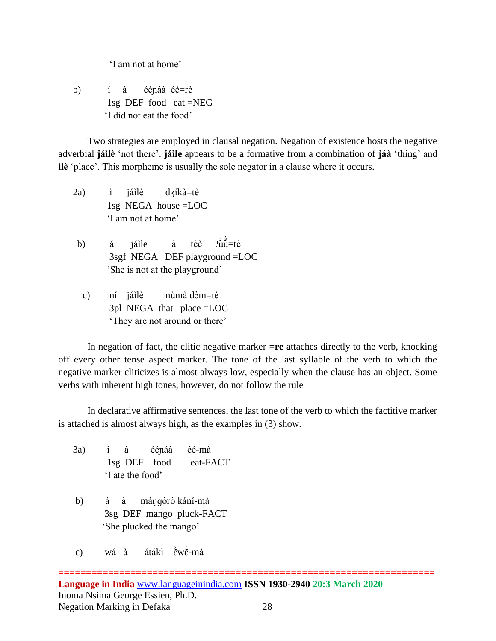'I am not at home'

 b) í à ééɲáà éè=rè 1sg DEF food eat =NEG 'I did not eat the food'

Two strategies are employed in clausal negation. Negation of existence hosts the negative adverbial **jáìlè** 'not there'. **jáìle** appears to be a formative from a combination of **jáà** 'thing' and **ìlè** 'place'. This morpheme is usually the sole negator in a clause where it occurs.

- 2a) ì jáìlè dʒíkà=tè 1sg NEGA house =LOC 'I am not at home'
- b) á jáile à tèè  $\hat{\ddot{u}}$ =tè 3sgf NEGA DEF playground =LOC 'She is not at the playground'
	- c) ní jáilè nùmà dòm=tè 3pl NEGA that place =LOC 'They are not around or there'

In negation of fact, the clitic negative marker **=re** attaches directly to the verb, knocking off every other tense aspect marker. The tone of the last syllable of the verb to which the negative marker cliticizes is almost always low, especially when the clause has an object. Some verbs with inherent high tones, however, do not follow the rule

In declarative affirmative sentences, the last tone of the verb to which the factitive marker is attached is almost always high, as the examples in (3) show.

- 3a) ì à ééɲáà éé-mà 1sg DEF food eat-FACT 'I ate the food'
- b) á à máŋɡòrò kání-mà 3sg DEF mango pluck-FACT 'She plucked the mango'
- c) wá à átákì  $\rm \tilde{e} \tilde{w} \tilde{e}$ -mà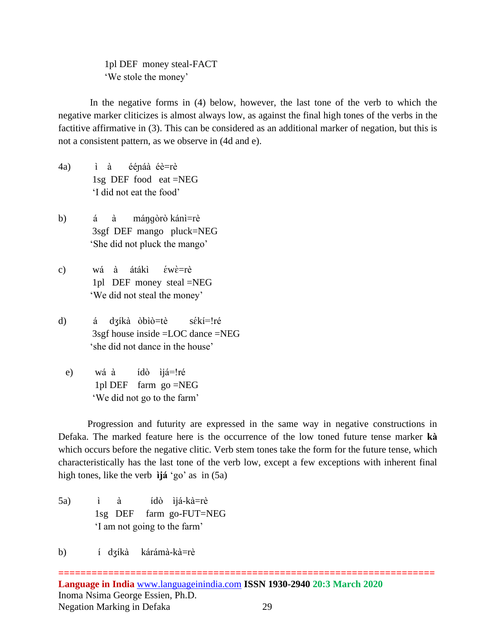1pl DEF money steal-FACT 'We stole the money'

 In the negative forms in (4) below, however, the last tone of the verb to which the negative marker cliticizes is almost always low, as against the final high tones of the verbs in the factitive affirmative in (3). This can be considered as an additional marker of negation, but this is not a consistent pattern, as we observe in (4d and e).

- 4a) ì à ééɲáà éè=rè 1sg DEF food eat =NEG 'I did not eat the food'
- b) á à máŋɡòrò kánì=rè 3sgf DEF mango pluck=NEG 'She did not pluck the mango'
- c) wá à átákì éwè=rè 1pl DEF money steal =NEG 'We did not steal the money'
- d) á dʒíkà òbìò=tè sɛ̃́kí=ǃré 3sgf house inside =LOC dance =NEG 'she did not dance in the house'
	- e) wá à ídò ìjá=!ré 1pl DEF farm go =NEG 'We did not go to the farm'

Progression and futurity are expressed in the same way in negative constructions in Defaka. The marked feature here is the occurrence of the low toned future tense marker **kà** which occurs before the negative clitic. Verb stem tones take the form for the future tense, which characteristically has the last tone of the verb low, except a few exceptions with inherent final high tones, like the verb **ìjá** 'go' as in (5a)

5a) ì à ídò ìjá-kà=rè 1sg DEF farm go-FUT=NEG 'I am not going to the farm'

b) í dʒíkà kárámà-kà=rè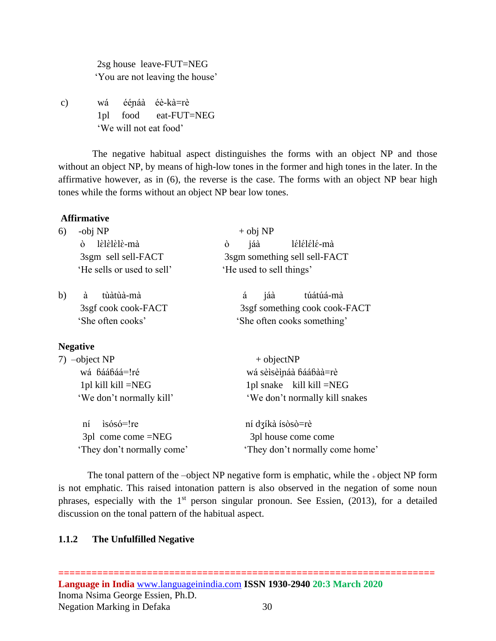2sg house leave-FUT=NEG 'You are not leaving the house'

c) wá ééɲáà éè-kà=rè 1pl food eat-FUT=NEG 'We will not eat food'

 The negative habitual aspect distinguishes the forms with an object NP and those without an object NP, by means of high-low tones in the former and high tones in the later. In the affirmative however, as in (6), the reverse is the case. The forms with an object NP bear high tones while the forms without an object NP bear low tones.

#### **Affirmative**

| 6)                               | -obj NP                    | $+$ obj NP                    |  |
|----------------------------------|----------------------------|-------------------------------|--|
|                                  | lèlèlèlè-mà<br>ò           | lélélélé-mà<br>ò<br>jáà       |  |
|                                  | 3sgm sell sell-FACT        | 3sgm something sell sell-FACT |  |
|                                  | 'He sells or used to sell' | 'He used to sell things'      |  |
| b)                               | à<br>tùàtùà-mà             | jáà<br>á<br>túátúá-mà         |  |
|                                  | 3sgf cook cook-FACT        | 3sgf something cook cook-FACT |  |
|                                  | 'She often cooks'          | 'She often cooks something'   |  |
|                                  | <b>Negative</b>            |                               |  |
| $7)$ -object NP<br>wá báábáá=!ré |                            | $+$ objectNP                  |  |
|                                  |                            | wá sèisèináà báábàà=rè        |  |

| wá báábáá=!ré              | wá sèlsèlnáà báábàà=rè          |  |
|----------------------------|---------------------------------|--|
| 1pl kill kill $=NEG$       | 1pl snake kill kill $=NEG$      |  |
| 'We don't normally kill'   | 'We don't normally kill snakes  |  |
|                            |                                 |  |
| $ni$ isósó=! $re$          | ní dzíkà ísòsò=rè               |  |
| $3pl$ come come $=NEG$     | 3pl house come come             |  |
| 'They don't normally come' | 'They don't normally come home' |  |

The tonal pattern of the –object NP negative form is emphatic, while the  $\pm$  object NP form is not emphatic. This raised intonation pattern is also observed in the negation of some noun phrases, especially with the  $1<sup>st</sup>$  person singular pronoun. See Essien, (2013), for a detailed discussion on the tonal pattern of the habitual aspect.

#### **1.1.2 The Unfulfilled Negative**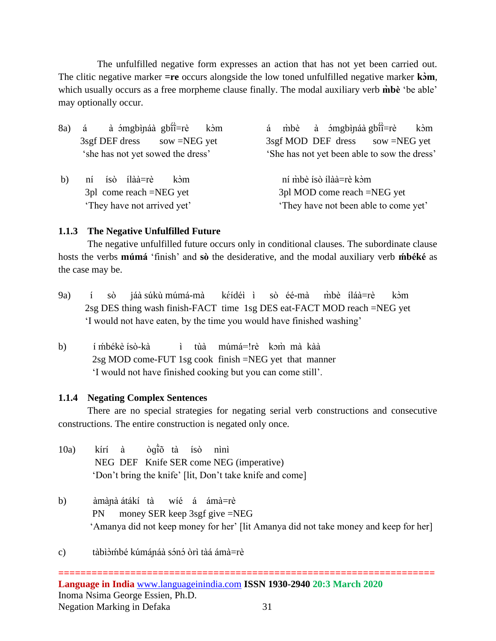The unfulfilled negative form expresses an action that has not yet been carried out. The clitic negative marker **=re** occurs alongside the low toned unfulfilled negative marker **kɔ̀m**, which usually occurs as a free morpheme clause finally. The modal auxiliary verb **m̀bè** 'be able' may optionally occur.

|    | à ómgbìnáà gbĩĩ=rè<br>8a) á<br>kòm         | á mbè à ómgbìnáa gbìi=rè<br>kòm              |
|----|--------------------------------------------|----------------------------------------------|
|    | $3\text{sgf}\text{DEF}$ dress sow =NEG yet | 3sgf MOD DEF dress sow =NEG yet              |
|    | 'she has not yet sowed the dress'          | 'She has not yet been able to sow the dress' |
| b) | ní ísò ílàà=rè<br>kòm                      | ní mbè isò ilàà=rè kòm                       |
|    | $3pl$ come reach =NEG yet                  | 3pl MOD come reach =NEG yet                  |
|    | 'They have not arrived yet'                | 'They have not been able to come yet'        |

### **1.1.3 The Negative Unfulfilled Future**

 The negative unfulfilled future occurs only in conditional clauses. The subordinate clause hosts the verbs **múmá** 'finish' and sò the desiderative, and the modal auxiliary verb **mbéké** as the case may be.

- 9a) í sò jáà súkù múmá-mà kéidéi i sò éé-mà m̀bè íláà=rè kòm 2sg DES thing wash finish-FACT time 1sg DES eat-FACT MOD reach =NEG yet 'I would not have eaten, by the time you would have finished washing'
- b) í mbékè isò-kà i tùà múmá=!rè kɔm̃̀mà kàà 2sg MOD come-FUT 1sg cook finish =NEG yet that manner 'I would not have finished cooking but you can come still'.

#### **1.1.4 Negating Complex Sentences**

There are no special strategies for negating serial verb constructions and consecutive constructions. The entire construction is negated only once.

- $10a$ ) kírí à ̃̀õ tà ísò nìnì NEG DEF Knife SER come NEG (imperative) 'Don't bring the knife' [lit, Don't take knife and come]
- b) àmàɲà átákí tà wíé á ámà=rè PN money SER keep 3sgf give =NEG 'Amanya did not keep money for her' [lit Amanya did not take money and keep for her]
- c) tàbì∂ḿbé kúmánáà sɔ́nɔ́ òrì tàá ámà=rè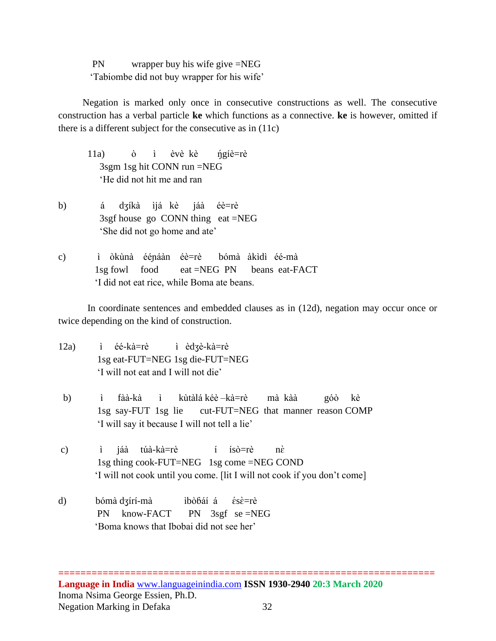PN wrapper buy his wife give =NEG 'Tabiombe did not buy wrapper for his wife'

 Negation is marked only once in consecutive constructions as well. The consecutive construction has a verbal particle **ke** which functions as a connective. **ke** is however, omitted if there is a different subject for the consecutive as in (11c)

11a) ò ì èvè kè ŋ̃́gíè=rè 3sgm 1sg hit CONN run =NEG 'He did not hit me and ran

- b) á dʒíkà ìjá kè jáà éè=rè 3sgf house go CONN thing eat =NEG 'She did not go home and ate'
- c) ì òkùnà ééɲáàn éè=rè bómà àkìdì éé-mà 1sg fowl food eat =NEG PN beans eat-FACT 'I did not eat rice, while Boma ate beans.

 In coordinate sentences and embedded clauses as in (12d), negation may occur once or twice depending on the kind of construction.

- 12a) ì éé-kà=rè ì èdʒè-kà=rè 1sg eat-FUT=NEG 1sg die-FUT=NEG 'I will not eat and I will not die'
- b) ì fàà-kà ì kùtàlá kéè –kà=rè mà kàà góò kè 1sg say-FUT 1sg lie cut-FUT=NEG that manner reason COMP 'I will say it because I will not tell a lie'
- c) ì jáà túà-kà=rè í ísò=rè nè 1sg thing cook-FUT=NEG 1sg come =NEG COND 'I will not cook until you come. [lit I will not cook if you don't come]
- d) bómà dʒírí-mà ibòbáí á ésè=rè PN know-FACT PN 3sgf se =NEG 'Boma knows that Ibobai did not see her'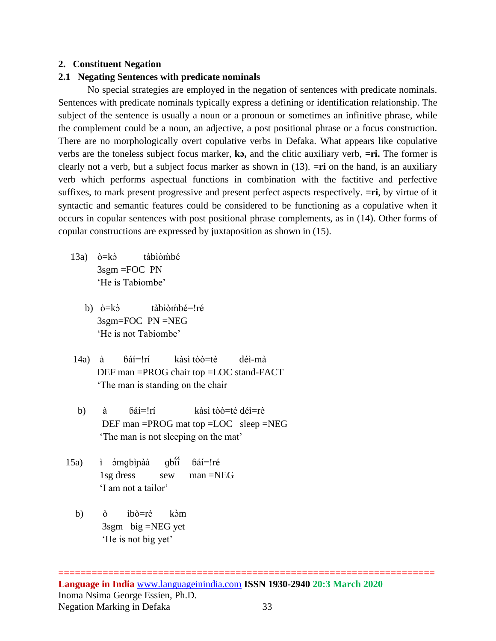#### **2. Constituent Negation**

#### **2.1 Negating Sentences with predicate nominals**

No special strategies are employed in the negation of sentences with predicate nominals. Sentences with predicate nominals typically express a defining or identification relationship. The subject of the sentence is usually a noun or a pronoun or sometimes an infinitive phrase, while the complement could be a noun, an adjective, a post positional phrase or a focus construction. There are no morphologically overt copulative verbs in Defaka. What appears like copulative verbs are the toneless subject focus marker, **kɔ,** and the clitic auxiliary verb, **=ri.** The former is clearly not a verb, but a subject focus marker as shown in (13). =**ri** on the hand, is an auxiliary verb which performs aspectual functions in combination with the factitive and perfective suffixes, to mark present progressive and present perfect aspects respectively. **=ri**, by virtue of it syntactic and semantic features could be considered to be functioning as a copulative when it occurs in copular sentences with post positional phrase complements, as in (14). Other forms of copular constructions are expressed by juxtaposition as shown in (15).

- $13a$ )  $\dot{\sigma} = k\dot{\sigma}$  tàbìòḿbé 3sgm =FOC PN 'He is Tabiombe'
	- b)  $\dot{\mathrm{o}} = \mathrm{k} \dot{\mathrm{o}}$  tàbìòḿbé=ǃré 3sgm=FOC PN =NEG 'He is not Tabiombe'
- 14a) à ɓáí=ǃrí kàsì tòò=tè déì-mà DEF man =PROG chair top =LOC stand-FACT 'The man is standing on the chair
- b) à báí=!rí kàsì tòò=tè déì=rè DEF man =PROG mat top =LOC sleep =NEG 'The man is not sleeping on the mat'
- 15a) ì *ó*mgbìnàà qbîî ̃́ ɓáí=ǃré 1sg dress sew man =NEG 'I am not a tailor'
	- b) ò ìbò=rè kòm 3sgm big =NEG yet 'He is not big yet'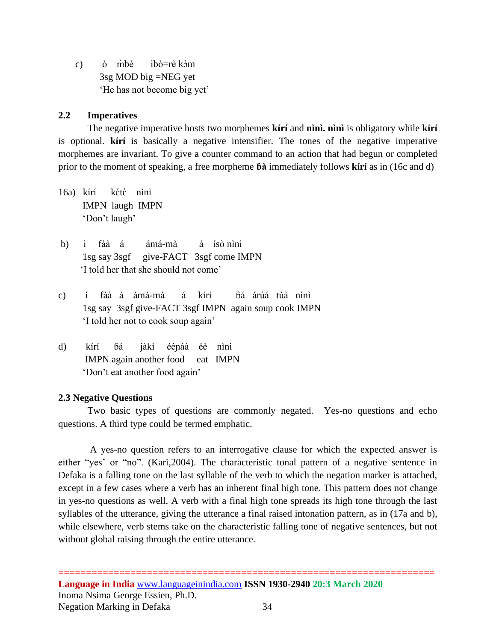c) ò m̀bè ibò=rè kòm 3sg MOD big =NEG yet 'He has not become big yet'

#### **2.2 Imperatives**

The negative imperative hosts two morphemes **kírí** and **nìnì. nìnì** is obligatory while **kírí** is optional. **kírí** is basically a negative intensifier. The tones of the negative imperative morphemes are invariant. To give a counter command to an action that had begun or completed prior to the moment of speaking, a free morpheme **ɓà** immediately follows **kírí** as in (16c and d)

- $16a$ ) kírí tè nìnì IMPN laugh IMPN 'Don't laugh'
- b) ì fàà á ámá-mà á ísò nìnì 1sg say 3sgf give-FACT 3sgf come IMPN 'I told her that she should not come'
- c) í fàà á ámá-mà á kírí ɓá árúá tùà nìnì 1sg say 3sgf give-FACT 3sgf IMPN again soup cook IMPN 'I told her not to cook soup again'
- d) kírí ɓá jàkì ééɲáà éè nìnì IMPN again another food eat IMPN 'Don't eat another food again'

#### **2.3 Negative Questions**

Two basic types of questions are commonly negated. Yes-no questions and echo questions. A third type could be termed emphatic.

 A yes-no question refers to an interrogative clause for which the expected answer is either "yes' or "no". (Kari,2004). The characteristic tonal pattern of a negative sentence in Defaka is a falling tone on the last syllable of the verb to which the negation marker is attached, except in a few cases where a verb has an inherent final high tone. This pattern does not change in yes-no questions as well. A verb with a final high tone spreads its high tone through the last syllables of the utterance, giving the utterance a final raised intonation pattern, as in (17a and b), while elsewhere, verb stems take on the characteristic falling tone of negative sentences, but not without global raising through the entire utterance.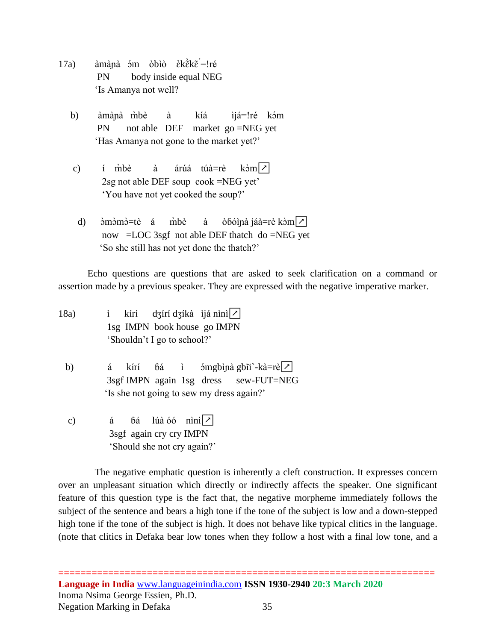- 17a) amàna óm obio èkẽkẽ=!ré PN body inside equal NEG 'Is Amanya not well?
	- b) àmànà m̀bè à kíá ìjá=!ré kɔ́m PN not able DEF market go =NEG yet 'Has Amanya not gone to the market yet?'
	- c) í m̀bè à árúá túà=rè kòm $|z|$  2sg not able DEF soup cook =NEG yet' 'You have not yet cooked the soup?'
	- d)  $\delta$ m $\delta$ m $\delta$ =tè á m̀bè à  $\delta$ bóina jáà=rè k $\delta$ m $\mathcal{V}$  now =LOC 3sgf not able DEF thatch do =NEG yet 'So she still has not yet done the thatch?'

Echo questions are questions that are asked to seek clarification on a command or assertion made by a previous speaker. They are expressed with the negative imperative marker.

- 18a)  $i$  kírí dʒírí dʒíkà ìjá nìnì $| \rangle$  1sg IMPN book house go IMPN 'Shouldn't I go to school?'
	- b) á kírí  $6a$  ì ómgbìna gbĩi`-kà=rè $\triangledown$  3sgf IMPN again 1sg dress sew-FUT=NEG 'Is she not going to sew my dress again?'
	- c) á  $64 \text{ lúa óó nini}$  3sgf again cry cry IMPN 'Should she not cry again?'

 The negative emphatic question is inherently a cleft construction. It expresses concern over an unpleasant situation which directly or indirectly affects the speaker. One significant feature of this question type is the fact that, the negative morpheme immediately follows the subject of the sentence and bears a high tone if the tone of the subject is low and a down-stepped high tone if the tone of the subject is high. It does not behave like typical clitics in the language. (note that clitics in Defaka bear low tones when they follow a host with a final low tone, and a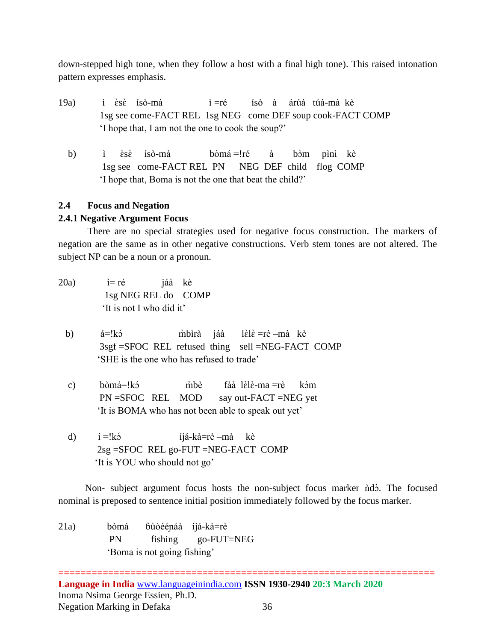down-stepped high tone, when they follow a host with a final high tone). This raised intonation pattern expresses emphasis.

- 19a) i  $\grave{\text{e}}$ s $\grave{\text{e}}$  isò-mà  $\hat{i}$  =ré ísò à árúá túà-mà kè 1sg see come-FACT REL 1sg NEG come DEF soup cook-FACT COMP 'I hope that, I am not the one to cook the soup?'
	- b)  $i$   $\dot{\varepsilon}$ s $\dot{\varepsilon}$ ísò-mà bòmá =!ré à bòm pìnì kè 1sg see come-FACT REL PN NEG DEF child flog COMP 'I hope that, Boma is not the one that beat the child?'

## **2.4 Focus and Negation**

### **2.4.1 Negative Argument Focus**

There are no special strategies used for negative focus construction. The markers of negation are the same as in other negative constructions. Verb stem tones are not altered. The subject NP can be a noun or a pronoun.

- $20a$   $i=r\acute{e}$  jáà kè 1sg NEG REL do COMP 'It is not I who did it'
	- b)  $á=!k5$ m̀bìrà jáà  $l\grave{\varepsilon}$ l $\grave{\varepsilon}$  =rè –mà kè 3sgf =SFOC REL refused thing sell =NEG-FACT COMP 'SHE is the one who has refused to trade'
	- c) bòmá=!kɔ̃ m̀bè fàà lɛ̀lɛ̀-ma =rè kɔ̀m PN =SFOC REL MOD say out-FACT =NEG yet 'It is BOMA who has not been able to speak out yet'
	- d)  $i = !k5$  íjá-kà=rè –mà kè 2sg =SFOC REL go-FUT =NEG-FACT COMP 'It is YOU who should not go'

Non- subject argument focus hosts the non-subject focus marker ndo. The focused nominal is preposed to sentence initial position immediately followed by the focus marker.

21a) bòmá ɓùòééɲáà íjá-kà=rè PN fishing go-FUT=NEG 'Boma is not going fishing'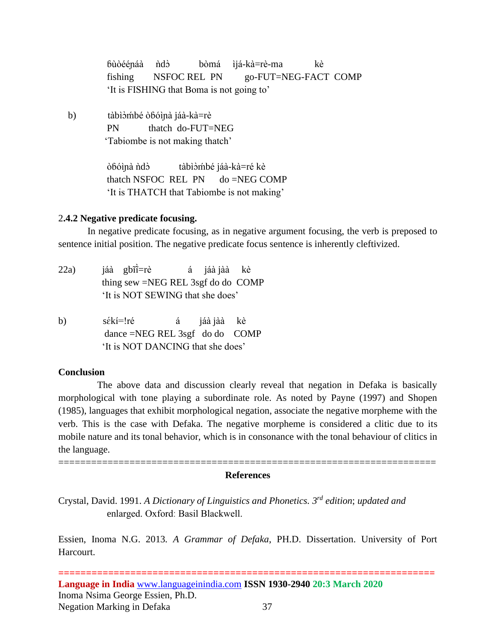bùòéénáà ndò bòmá ìjá-kà=rè-ma kè fishing NSFOC REL PN go-FUT=NEG-FACT COMP 'It is FISHING that Boma is not going to'

b) tàbìòmbé òbóìnà jáà-kà=rè PN thatch do-FUT=NEG 'Tabiombe is not making thatch'

> òbóìnà ndò tàbìòmbé jáà-kà=ré kè thatch NSFOC REL PN  $\phi$  =NEG COMP 'It is THATCH that Tabiombe is not making'

#### 2**.4.2 Negative predicate focusing.**

In negative predicate focusing, as in negative argument focusing, the verb is preposed to sentence initial position. The negative predicate focus sentence is inherently cleftivized.

- 22a) jáà gbĩi á jáà jàà kè thing sew =NEG REL 3sgf do do COMP 'It is NOT SEWING that she does'
- b) sékí=!ré á jáà jàà kè dance =NEG REL 3sgf do do COMP 'It is NOT DANCING that she does'

#### **Conclusion**

 The above data and discussion clearly reveal that negation in Defaka is basically morphological with tone playing a subordinate role. As noted by Payne (1997) and Shopen (1985), languages that exhibit morphological negation, associate the negative morpheme with the verb. This is the case with Defaka. The negative morpheme is considered a clitic due to its mobile nature and its tonal behavior, which is in consonance with the tonal behaviour of clitics in the language.

#### ===================================================================== **References**

Crystal, David. 1991. *A Dictionary of Linguistics and Phonetics. 3 rd edition*; *updated and* enlarged. Oxfordː Basil Blackwell.

Essien, Inoma N.G. 2013*. A Grammar of Defaka*, PH.D. Dissertation. University of Port Harcourt.

**==================================================================== Language in India** [www.languageinindia.com](http://www.languageinindia.com/) **ISSN 1930-2940 20:3 March 2020** Inoma Nsima George Essien, Ph.D. Negation Marking in Defaka 37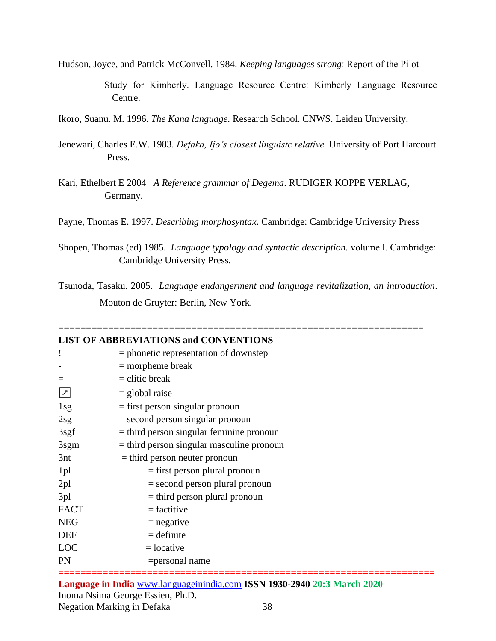Hudson, Joyce, and Patrick McConvell. 1984. *Keeping languages strong*ː Report of the Pilot

 Study for Kimberly. Language Resource Centreː Kimberly Language Resource Centre.

Ikoro, Suanu. M. 1996. *The Kana language.* Research School. CNWS. Leiden University.

- Jenewari, Charles E.W. 1983. *Defaka, Ijo's closest linguistc relative.* University of Port Harcourt Press.
- Kari, Ethelbert E 2004 *A Reference grammar of Degema*. RUDIGER KOPPE VERLAG, Germany.

Payne, Thomas E. 1997. *Describing morphosyntax*. Cambridge: Cambridge University Press

Shopen, Thomas (ed) 1985. *Language typology and syntactic description.* volume I. Cambridgeː Cambridge University Press.

Tsunoda, Tasaku. 2005. *Language endangerment and language revitalization, an introduction*. Mouton de Gruyter: Berlin, New York.

| <b>LIST OF ABBREVIATIONS and CONVENTIONS</b> |                                             |  |  |  |
|----------------------------------------------|---------------------------------------------|--|--|--|
|                                              | $=$ phonetic representation of downstep     |  |  |  |
|                                              | $=$ morpheme break                          |  |  |  |
|                                              | $=$ clitic break                            |  |  |  |
| $\boldsymbol{\mathcal{L}}$                   | $=$ global raise                            |  |  |  |
| 1sg                                          | $=$ first person singular pronoun           |  |  |  |
| 2sg                                          | $=$ second person singular pronoun          |  |  |  |
| 3sgf                                         | $=$ third person singular feminine pronoun  |  |  |  |
| 3sgm                                         | $=$ third person singular masculine pronoun |  |  |  |
| 3nt                                          | $=$ third person neuter pronoun             |  |  |  |
| 1pl                                          | $=$ first person plural pronoun             |  |  |  |
| 2 <sub>pl</sub>                              | $=$ second person plural pronoun            |  |  |  |
| 3pl                                          | $=$ third person plural pronoun             |  |  |  |
| <b>FACT</b>                                  | $=$ factitive                               |  |  |  |
| <b>NEG</b>                                   | $=$ negative                                |  |  |  |
| <b>DEF</b>                                   | $=$ definite                                |  |  |  |
| <b>LOC</b>                                   | $=$ locative                                |  |  |  |
| <b>PN</b>                                    | =personal name                              |  |  |  |

**Language in India** [www.languageinindia.com](http://www.languageinindia.com/) **ISSN 1930-2940 20:3 March 2020**